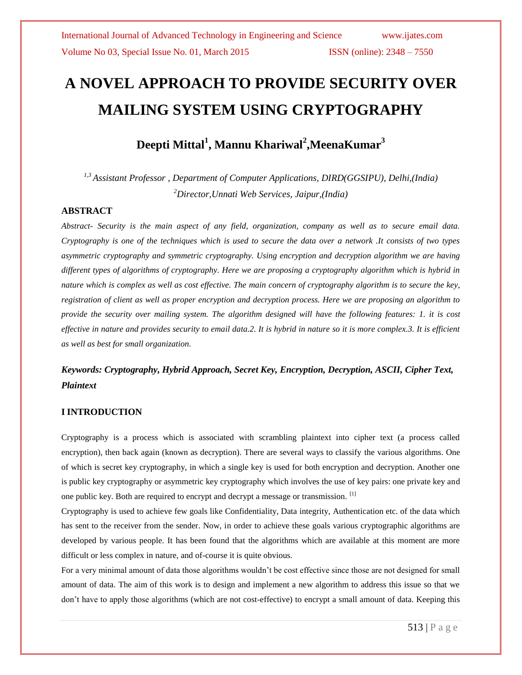# **A NOVEL APPROACH TO PROVIDE SECURITY OVER MAILING SYSTEM USING CRYPTOGRAPHY**

# **Deepti Mittal<sup>1</sup> , Mannu Khariwal<sup>2</sup> ,MeenaKumar<sup>3</sup>**

*1,3 Assistant Professor , Department of Computer Applications, DIRD(GGSIPU), Delhi,(India) <sup>2</sup>Director,Unnati Web Services, Jaipur,(India)*

# **ABSTRACT**

*Abstract- Security is the main aspect of any field, organization, company as well as to secure email data. Cryptography is one of the techniques which is used to secure the data over a network .It consists of two types asymmetric cryptography and symmetric cryptography. Using encryption and decryption algorithm we are having different types of algorithms of cryptography. Here we are proposing a cryptography algorithm which is hybrid in nature which is complex as well as cost effective. The main concern of cryptography algorithm is to secure the key, registration of client as well as proper encryption and decryption process. Here we are proposing an algorithm to provide the security over mailing system. The algorithm designed will have the following features: 1. it is cost effective in nature and provides security to email data.2. It is hybrid in nature so it is more complex.3. It is efficient as well as best for small organization.*

# *Keywords: Cryptography, Hybrid Approach, Secret Key, Encryption, Decryption, ASCII, Cipher Text, Plaintext*

# **I INTRODUCTION**

Cryptography is a process which is associated with scrambling plaintext into cipher text (a process called encryption), then back again (known as decryption). There are several ways to classify the various algorithms. One of which is secret key cryptography, in which a single key is used for both encryption and decryption. Another one is public key cryptography or asymmetric key cryptography which involves the use of key pairs: one private key and one public key. Both are required to encrypt and decrypt a message or transmission. <sup>[1]</sup>

Cryptography is used to achieve few goals like Confidentiality, Data integrity, Authentication etc. of the data which has sent to the receiver from the sender. Now, in order to achieve these goals various cryptographic algorithms are developed by various people. It has been found that the algorithms which are available at this moment are more difficult or less complex in nature, and of-course it is quite obvious.

For a very minimal amount of data those algorithms wouldn't be cost effective since those are not designed for small amount of data. The aim of this work is to design and implement a new algorithm to address this issue so that we don't have to apply those algorithms (which are not cost-effective) to encrypt a small amount of data. Keeping this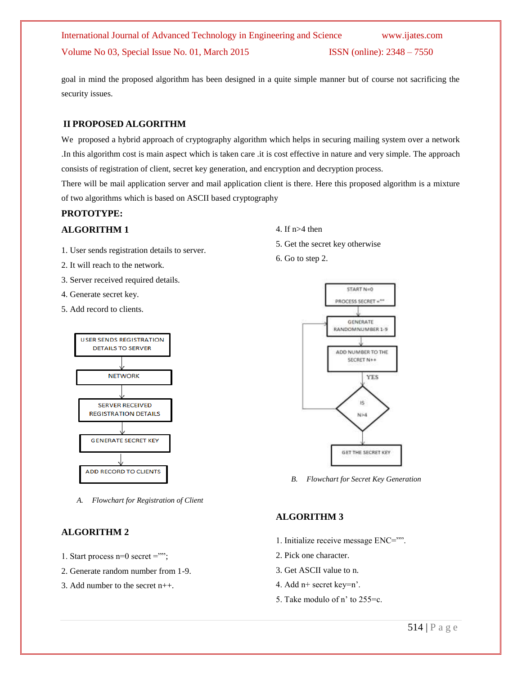# International Journal of Advanced Technology in Engineering and Science www.ijates.com Volume No 03, Special Issue No. 01, March 2015 ISSN (online): 2348 – 7550

goal in mind the proposed algorithm has been designed in a quite simple manner but of course not sacrificing the security issues.

# **II PROPOSED ALGORITHM**

We proposed a hybrid approach of cryptography algorithm which helps in securing mailing system over a network .In this algorithm cost is main aspect which is taken care .it is cost effective in nature and very simple. The approach consists of registration of client, secret key generation, and encryption and decryption process.

There will be mail application server and mail application client is there. Here this proposed algorithm is a mixture of two algorithms which is based on ASCII based cryptography

# **PROTOTYPE:**

# **ALGORITHM 1**

- 1. User sends registration details to server.
- 2. It will reach to the network.
- 3. Server received required details.
- 4. Generate secret key.
- 5. Add record to clients.



*A. Flowchart for Registration of Client*

# **ALGORITHM 2**

- 1. Start process n=0 secret ="";
- 2. Generate random number from 1-9.
- 3. Add number to the secret n++.
- 4. If n>4 then
- 5. Get the secret key otherwise
- 6. Go to step 2.



*B. Flowchart for Secret Key Generation*

# **ALGORITHM 3**

- 1. Initialize receive message ENC="".
- 2. Pick one character.
- 3. Get ASCII value to n.
- 4. Add n+ secret key=n'.
- 5. Take modulo of n' to 255=c.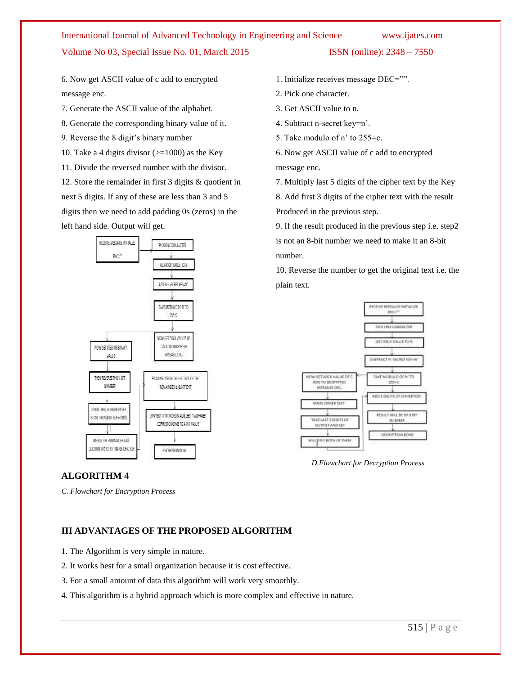# International Journal of Advanced Technology in Engineering and Science www.ijates.com Volume No 03, Special Issue No. 01, March 2015 **ISSN** (online): 2348 – 7550

6. Now get ASCII value of c add to encrypted message enc.

- 7. Generate the ASCII value of the alphabet.
- 8. Generate the corresponding binary value of it.
- 9. Reverse the 8 digit's binary number
- 10. Take a 4 digits divisor  $(>=1000)$  as the Key
- 11. Divide the reversed number with the divisor.

12. Store the remainder in first 3 digits & quotient in next 5 digits. If any of these are less than 3 and 5 digits then we need to add padding 0s (zeros) in the left hand side. Output will get.



# **ALGORITHM 4**

*C. Flowchart for Encryption Process*

# **III ADVANTAGES OF THE PROPOSED ALGORITHM**

- 1. The Algorithm is very simple in nature.
- 2. It works best for a small organization because it is cost effective.
- 3. For a small amount of data this algorithm will work very smoothly.
- 4. This algorithm is a hybrid approach which is more complex and effective in nature.
- 1. Initialize receives message DEC="".
- 2. Pick one character.
- 3. Get ASCII value to n.
- 4. Subtract n-secret key=n'.
- 5. Take modulo of n' to 255=c.
- 6. Now get ASCII value of c add to encrypted message enc.
- 7. Multiply last 5 digits of the cipher text by the Key
- 8. Add first 3 digits of the cipher text with the result Produced in the previous step.

9. If the result produced in the previous step i.e. step2 is not an 8-bit number we need to make it an 8-bit number.

10. Reverse the number to get the original text i.e. the plain text.



*D.Flowchart for Decryption Process*